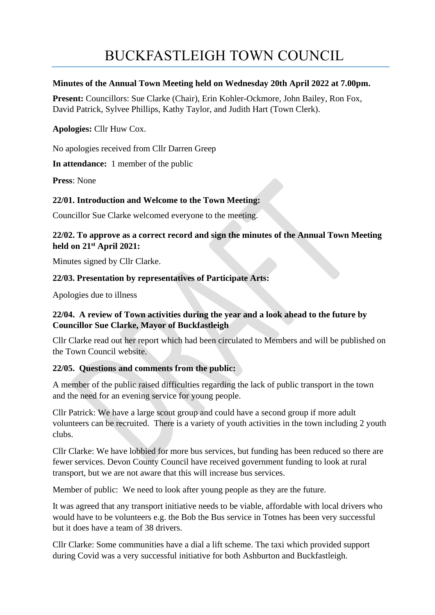# BUCKFASTLEIGH TOWN COUNCIL

#### **Minutes of the Annual Town Meeting held on Wednesday 20th April 2022 at 7.00pm.**

**Present:** Councillors: Sue Clarke (Chair), Erin Kohler-Ockmore, John Bailey, Ron Fox, David Patrick, Sylvee Phillips, Kathy Taylor, and Judith Hart (Town Clerk).

**Apologies:** Cllr Huw Cox.

No apologies received from Cllr Darren Greep

**In attendance:** 1 member of the public

**Press**: None

## **22/01. Introduction and Welcome to the Town Meeting:**

Councillor Sue Clarke welcomed everyone to the meeting.

# **22/02. To approve as a correct record and sign the minutes of the Annual Town Meeting held on 21 st April 2021:**

Minutes signed by Cllr Clarke.

## **22/03. Presentation by representatives of Participate Arts:**

Apologies due to illness

# **22/04. A review of Town activities during the year and a look ahead to the future by Councillor Sue Clarke, Mayor of Buckfastleigh**

Cllr Clarke read out her report which had been circulated to Members and will be published on the Town Council website.

## **22/05. Questions and comments from the public:**

A member of the public raised difficulties regarding the lack of public transport in the town and the need for an evening service for young people.

Cllr Patrick: We have a large scout group and could have a second group if more adult volunteers can be recruited. There is a variety of youth activities in the town including 2 youth clubs.

Cllr Clarke: We have lobbied for more bus services, but funding has been reduced so there are fewer services. Devon County Council have received government funding to look at rural transport, but we are not aware that this will increase bus services.

Member of public: We need to look after young people as they are the future.

It was agreed that any transport initiative needs to be viable, affordable with local drivers who would have to be volunteers e.g. the Bob the Bus service in Totnes has been very successful but it does have a team of 38 drivers.

Cllr Clarke: Some communities have a dial a lift scheme. The taxi which provided support during Covid was a very successful initiative for both Ashburton and Buckfastleigh.